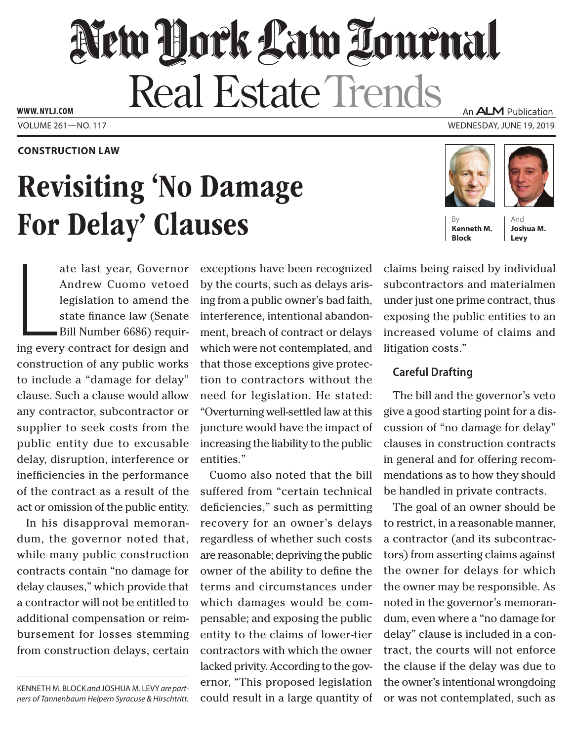# New York Law Lournal **Real Estate Trends www. NYLJ.com** An **ALM** Publication

Volume 261—NO. 117 Wednesday, June 19, 2019

## **Construction Law**

# Revisiting 'No Damage For Delay' Clauses

ate last year, Governor<br>Andrew Cuomo vetoed<br>legislation to amend the<br>state finance law (Senate<br>Bill Number 6686) requir-<br>ing every contract for design and ate last year, Governor Andrew Cuomo vetoed legislation to amend the state finance law (Senate Bill Number 6686) requirconstruction of any public works to include a "damage for delay" clause. Such a clause would allow any contractor, subcontractor or supplier to seek costs from the public entity due to excusable delay, disruption, interference or inefficiencies in the performance of the contract as a result of the act or omission of the public entity.

In his disapproval memorandum, the governor noted that, while many public construction contracts contain "no damage for delay clauses," which provide that a contractor will not be entitled to additional compensation or reimbursement for losses stemming from construction delays, certain

Kenneth M. Block *and* Joshua M. Levy *are partners of Tannenbaum Helpern Syracuse & Hirschtritt.*

exceptions have been recognized by the courts, such as delays arising from a public owner's bad faith, interference, intentional abandonment, breach of contract or delays which were not contemplated, and that those exceptions give protection to contractors without the need for legislation. He stated: "Overturning well-settled law at this juncture would have the impact of increasing the liability to the public entities."

Cuomo also noted that the bill suffered from "certain technical deficiencies," such as permitting recovery for an owner's delays regardless of whether such costs are reasonable; depriving the public owner of the ability to define the terms and circumstances under which damages would be compensable; and exposing the public entity to the claims of lower-tier contractors with which the owner lacked privity. According to the governor, "This proposed legislation could result in a large quantity of

claims being raised by individual subcontractors and materialmen under just one prime contract, thus exposing the public entities to an increased volume of claims and **Block Levy**

# **Careful Drafting**

litigation costs."

The bill and the governor's veto give a good starting point for a discussion of "no damage for delay" clauses in construction contracts in general and for offering recommendations as to how they should be handled in private contracts.

The goal of an owner should be to restrict, in a reasonable manner, a contractor (and its subcontractors) from asserting claims against the owner for delays for which the owner may be responsible. As noted in the governor's memorandum, even where a "no damage for delay" clause is included in a contract, the courts will not enforce the clause if the delay was due to the owner's intentional wrongdoing or was not contemplated, such as





And **Joshua M.**